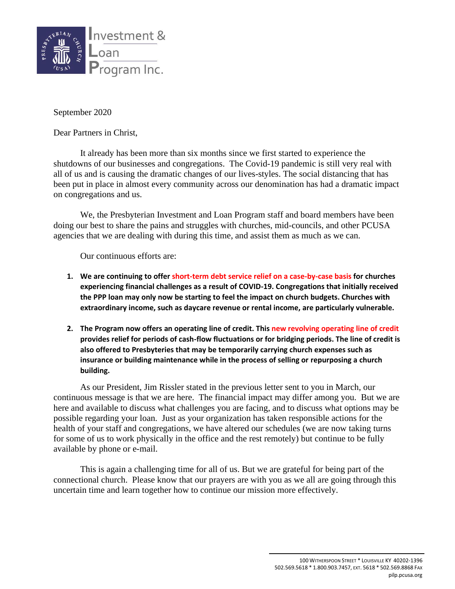

September 2020

Dear Partners in Christ,

It already has been more than six months since we first started to experience the shutdowns of our businesses and congregations. The Covid-19 pandemic is still very real with all of us and is causing the dramatic changes of our lives-styles. The social distancing that has been put in place in almost every community across our denomination has had a dramatic impact on congregations and us.

We, the Presbyterian Investment and Loan Program staff and board members have been doing our best to share the pains and struggles with churches, mid-councils, and other PCUSA agencies that we are dealing with during this time, and assist them as much as we can.

Our continuous efforts are:

- **1. We are continuing to offer short-term debt service relief on a case-by-case basis for churches experiencing financial challenges as a result of COVID-19. Congregations that initially received the PPP loan may only now be starting to feel the impact on church budgets. Churches with extraordinary income, such as daycare revenue or rental income, are particularly vulnerable.**
- **2. The Program now offers an operating line of credit. This new revolving operating line of credit provides relief for periods of cash-flow fluctuations or for bridging periods. The line of credit is also offered to Presbyteries that may be temporarily carrying church expenses such as insurance or building maintenance while in the process of selling or repurposing a church building.**

As our President, Jim Rissler stated in the previous letter sent to you in March, our continuous message is that we are here. The financial impact may differ among you. But we are here and available to discuss what challenges you are facing, and to discuss what options may be possible regarding your loan. Just as your organization has taken responsible actions for the health of your staff and congregations, we have altered our schedules (we are now taking turns for some of us to work physically in the office and the rest remotely) but continue to be fully available by phone or e-mail.

This is again a challenging time for all of us. But we are grateful for being part of the connectional church. Please know that our prayers are with you as we all are going through this uncertain time and learn together how to continue our mission more effectively.